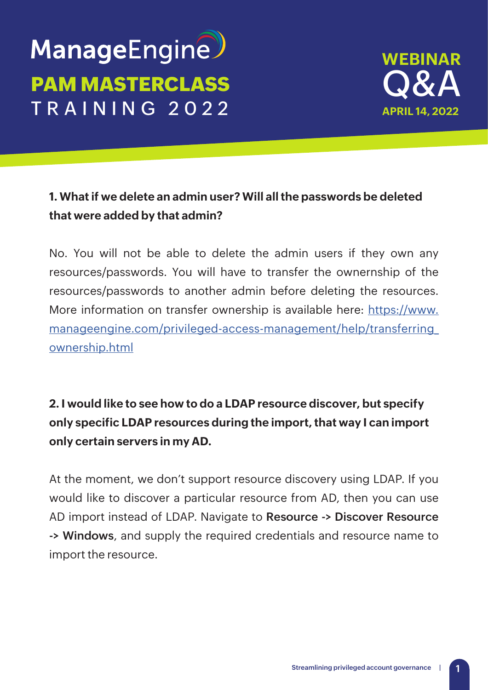# ManageEngine **PAM MASTERCLASS** TRAINING 2022



## **1. What if we delete an admin user? Will all the passwords be deleted that were added by that admin?**

No. You will not be able to delete the admin users if they own any resources/passwords. You will have to transfer the ownernship of the resources/passwords to another admin before deleting the resources. More information on transfer ownership is available here: [https://www.](https://www.manageengine.com/privileged-access-management/help/transferring_ownership.html) [manageengine.com/privileged-access-management/help/transferring\\_](https://www.manageengine.com/privileged-access-management/help/transferring_ownership.html) [ownership.html](https://www.manageengine.com/privileged-access-management/help/transferring_ownership.html)

**2. I would like to see how to do a LDAP resource discover, but specify only specific LDAP resources during the import, that way I can import only certain servers in my AD.**

At the moment, we don't support resource discovery using LDAP. If you would like to discover a particular resource from AD, then you can use AD import instead of LDAP. Navigate to **Resource -> Discover Resource -> Windows**, and supply the required credentials and resource name to import the resource.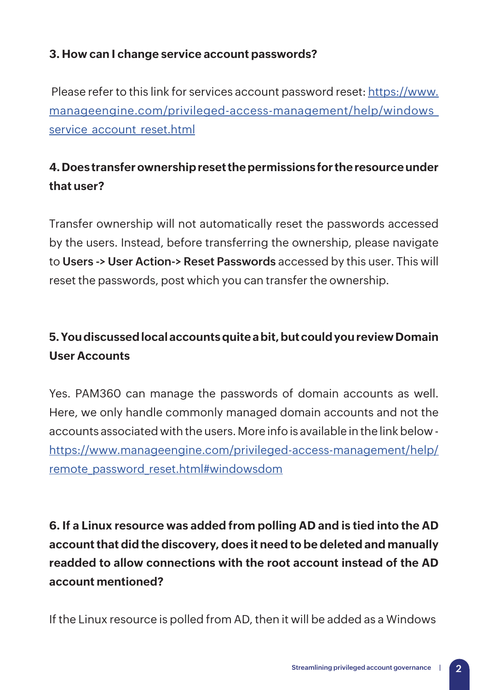#### **3. How can I change service account passwords?**

 Please refer to this link for services account password reset: [https://www.](https://www.manageengine.com/privileged-access-management/help/windows_service_account_reset.html) [manageengine.com/privileged-access-management/help/windows\\_](https://www.manageengine.com/privileged-access-management/help/windows_service_account_reset.html) service account reset.html

## **4. Does transfer ownership reset the permissions for the resource under that user?**

Transfer ownership will not automatically reset the passwords accessed by the users. Instead, before transferring the ownership, please navigate to **Users -> User Action-> Reset Passwords** accessed by this user. This will reset the passwords, post which you can transfer the ownership.

# **5. You discussed local accounts quite a bit, but could you review Domain User Accounts**

Yes. PAM360 can manage the passwords of domain accounts as well. Here, we only handle commonly managed domain accounts and not the accounts associated with the users. More info is available in the link below [https://www.manageengine.com/privileged-access-management/help/](https://www.manageengine.com/privileged-access-management/help/remote_password_reset.html#windowsdom) [remote\\_password\\_reset.html#windowsdom](https://www.manageengine.com/privileged-access-management/help/remote_password_reset.html#windowsdom)

**6. If a Linux resource was added from polling AD and is tied into the AD account that did the discovery, does it need to be deleted and manually readded to allow connections with the root account instead of the AD account mentioned?**

If the Linux resource is polled from AD, then it will be added as a Windows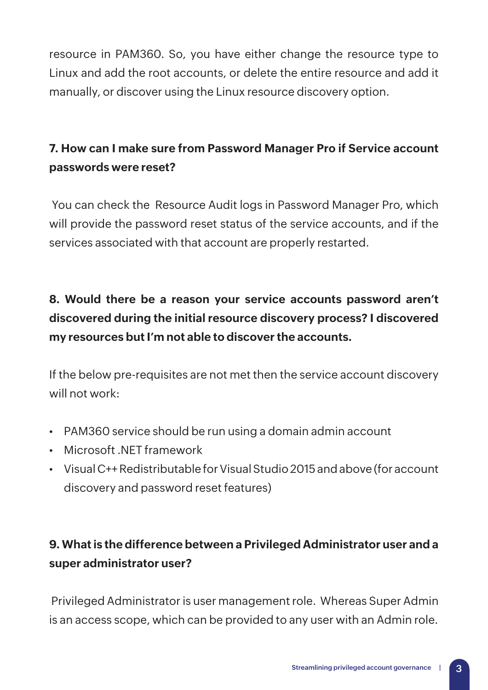resource in PAM360. So, you have either change the resource type to Linux and add the root accounts, or delete the entire resource and add it manually, or discover using the Linux resource discovery option.

# **7. How can I make sure from Password Manager Pro if Service account passwords were reset?**

 You can check the Resource Audit logs in Password Manager Pro, which will provide the password reset status of the service accounts, and if the services associated with that account are properly restarted.

# **8. Would there be a reason your service accounts password aren't discovered during the initial resource discovery process? I discovered my resources but I'm not able to discover the accounts.**

If the below pre-requisites are not met then the service account discovery will not work:

- PAM360 service should be run using a domain admin account
- Microsoft .NET framework
- Visual C++ Redistributable for Visual Studio 2015 and above (for account discovery and password reset features)

# **9. What is the difference between a Privileged Administrator user and a super administrator user?**

 Privileged Administrator is user management role. Whereas Super Admin is an access scope, which can be provided to any user with an Admin role.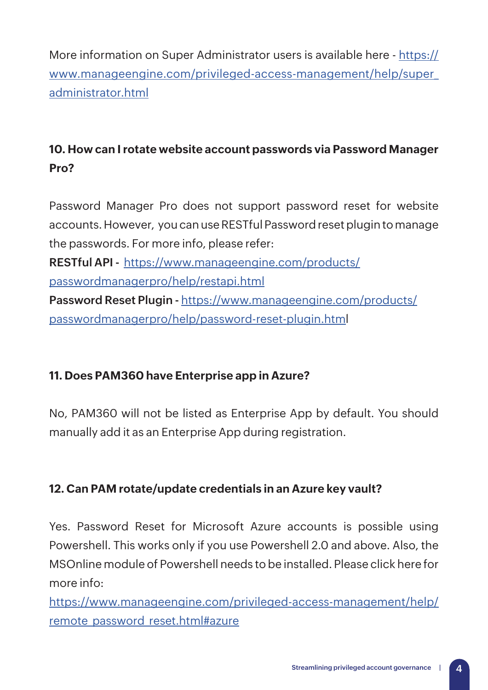More information on Super Administrator users is available here - [https://](https://www.manageengine.com/privileged-access-management/help/super_administrator.html) [www.manageengine.com/privileged-access-management/help/super\\_](https://www.manageengine.com/privileged-access-management/help/super_administrator.html) [administrator.html](https://www.manageengine.com/privileged-access-management/help/super_administrator.html)

## **10. How can I rotate website account passwords via Password Manager Pro?**

Password Manager Pro does not support password reset for website accounts. However, you can use RESTful Password reset plugin to manage the passwords. For more info, please refer: **RESTful API -** [https://www.manageengine.com/products/](https://www.manageengine.com/products/passwordmanagerpro/help/restapi.html) [passwordmanagerpro/help/restapi.html](https://www.manageengine.com/products/passwordmanagerpro/help/restapi.html) **Password Reset Plugin -** [https://www.manageengine.com/products/](https://www.manageengine.com/products/passwordmanagerpro/help/password-reset-plugin.htm) [passwordmanagerpro/help/password-reset-plugin.html](https://www.manageengine.com/products/passwordmanagerpro/help/password-reset-plugin.htm)

#### **11. Does PAM360 have Enterprise app in Azure?**

No, PAM360 will not be listed as Enterprise App by default. You should manually add it as an Enterprise App during registration.

#### **12. Can PAM rotate/update credentials in an Azure key vault?**

Yes. Password Reset for Microsoft Azure accounts is possible using Powershell. This works only if you use Powershell 2.0 and above. Also, the MSOnline module of Powershell needs to be installed. Please click here for more info:

[https://www.manageengine.com/privileged-access-management/help/](https://www.manageengine.com/privileged-access-management/help/remote_password_reset.html#azure) [remote\\_password\\_reset.html#azure](https://www.manageengine.com/privileged-access-management/help/remote_password_reset.html#azure)